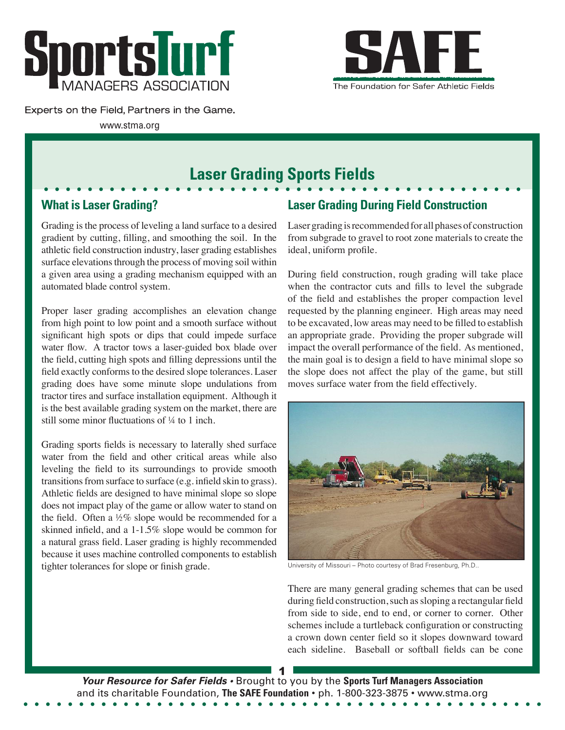



Experts on the Field, Partners in the Game.

www.stma.org

# **Laser Grading Sports Fields**

## **What is Laser Grading?**

Grading is the process of leveling a land surface to a desired gradient by cutting, filling, and smoothing the soil. In the athletic field construction industry, laser grading establishes surface elevations through the process of moving soil within a given area using a grading mechanism equipped with an automated blade control system.

Proper laser grading accomplishes an elevation change from high point to low point and a smooth surface without significant high spots or dips that could impede surface water flow. A tractor tows a laser-guided box blade over the field, cutting high spots and filling depressions until the field exactly conforms to the desired slope tolerances. Laser grading does have some minute slope undulations from tractor tires and surface installation equipment. Although it is the best available grading system on the market, there are still some minor fluctuations of ¼ to 1 inch.

Grading sports fields is necessary to laterally shed surface water from the field and other critical areas while also leveling the field to its surroundings to provide smooth transitions from surface to surface (e.g. infield skin to grass). Athletic fields are designed to have minimal slope so slope does not impact play of the game or allow water to stand on the field. Often a ½% slope would be recommended for a skinned infield, and a 1-1.5% slope would be common for a natural grass field. Laser grading is highly recommended because it uses machine controlled components to establish tighter tolerances for slope or finish grade.

## **Laser Grading During Field Construction**

Laser grading is recommended for all phases of construction from subgrade to gravel to root zone materials to create the ideal, uniform profile.

During field construction, rough grading will take place when the contractor cuts and fills to level the subgrade of the field and establishes the proper compaction level requested by the planning engineer. High areas may need to be excavated, low areas may need to be filled to establish an appropriate grade. Providing the proper subgrade will impact the overall performance of the field. As mentioned, the main goal is to design a field to have minimal slope so the slope does not affect the play of the game, but still moves surface water from the field effectively.



University of Missouri – Photo courtesy of Brad Fresenburg, Ph.D..

There are many general grading schemes that can be used during field construction, such as sloping a rectangular field from side to side, end to end, or corner to corner. Other schemes include a turtleback configuration or constructing a crown down center field so it slopes downward toward each sideline. Baseball or softball fields can be cone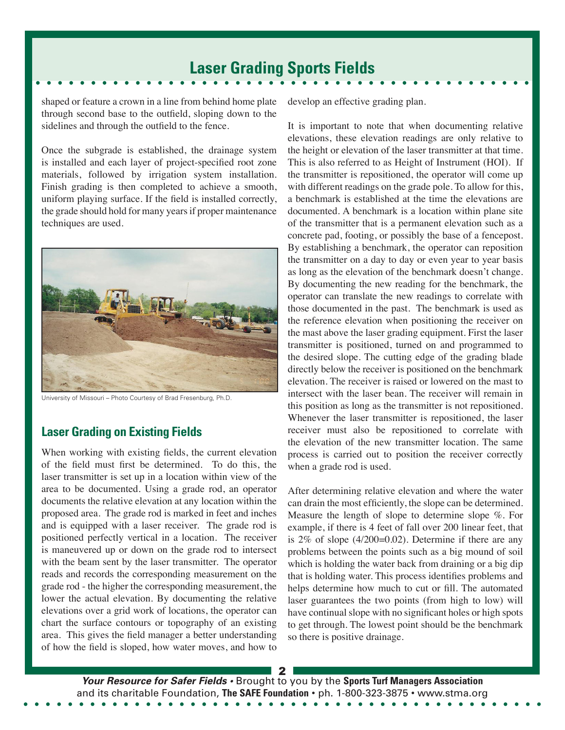shaped or feature a crown in a line from behind home plate through second base to the outfield, sloping down to the sidelines and through the outfield to the fence.

Once the subgrade is established, the drainage system is installed and each layer of project-specified root zone materials, followed by irrigation system installation. Finish grading is then completed to achieve a smooth, uniform playing surface. If the field is installed correctly, the grade should hold for many years if proper maintenance techniques are used.



University of Missouri – Photo Courtesy of Brad Fresenburg, Ph.D.

### **Laser Grading on Existing Fields**

When working with existing fields, the current elevation of the field must first be determined. To do this, the laser transmitter is set up in a location within view of the area to be documented. Using a grade rod, an operator documents the relative elevation at any location within the proposed area. The grade rod is marked in feet and inches and is equipped with a laser receiver. The grade rod is positioned perfectly vertical in a location. The receiver is maneuvered up or down on the grade rod to intersect with the beam sent by the laser transmitter. The operator reads and records the corresponding measurement on the grade rod - the higher the corresponding measurement, the lower the actual elevation. By documenting the relative elevations over a grid work of locations, the operator can chart the surface contours or topography of an existing area. This gives the field manager a better understanding of how the field is sloped, how water moves, and how to develop an effective grading plan.

It is important to note that when documenting relative elevations, these elevation readings are only relative to the height or elevation of the laser transmitter at that time. This is also referred to as Height of Instrument (HOI). If the transmitter is repositioned, the operator will come up with different readings on the grade pole. To allow for this, a benchmark is established at the time the elevations are documented. A benchmark is a location within plane site of the transmitter that is a permanent elevation such as a concrete pad, footing, or possibly the base of a fencepost. By establishing a benchmark, the operator can reposition the transmitter on a day to day or even year to year basis as long as the elevation of the benchmark doesn't change. By documenting the new reading for the benchmark, the operator can translate the new readings to correlate with those documented in the past. The benchmark is used as the reference elevation when positioning the receiver on the mast above the laser grading equipment. First the laser transmitter is positioned, turned on and programmed to the desired slope. The cutting edge of the grading blade directly below the receiver is positioned on the benchmark elevation. The receiver is raised or lowered on the mast to intersect with the laser bean. The receiver will remain in this position as long as the transmitter is not repositioned. Whenever the laser transmitter is repositioned, the laser receiver must also be repositioned to correlate with the elevation of the new transmitter location. The same process is carried out to position the receiver correctly when a grade rod is used.

After determining relative elevation and where the water can drain the most efficiently, the slope can be determined. Measure the length of slope to determine slope %. For example, if there is 4 feet of fall over 200 linear feet, that is 2% of slope (4/200=0.02). Determine if there are any problems between the points such as a big mound of soil which is holding the water back from draining or a big dip that is holding water. This process identifies problems and helps determine how much to cut or fill. The automated laser guarantees the two points (from high to low) will have continual slope with no significant holes or high spots to get through. The lowest point should be the benchmark so there is positive drainage.

2 *Your Resource for Safer Fields •* Brought to you by the **Sports Turf Managers Association**  and its charitable Foundation, **The SAFE Foundation** • ph. 1-800-323-3875 • www.stma.org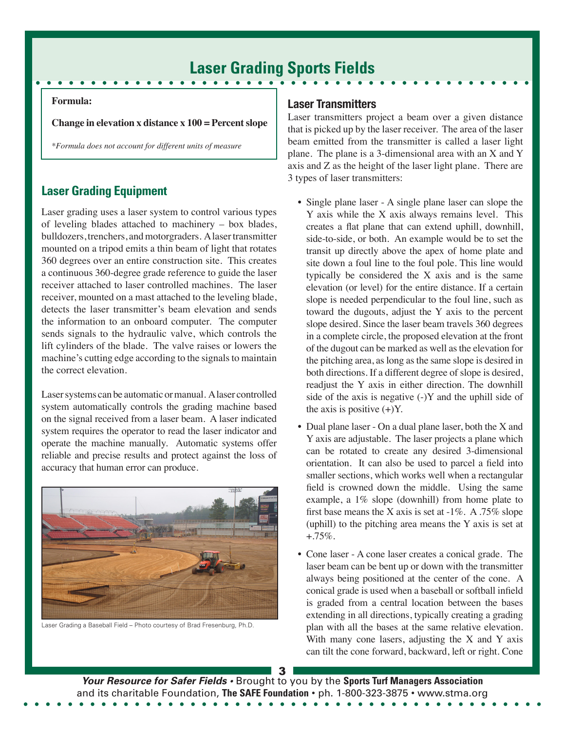#### **Formula:**

**Change in elevation x distance x 100 = Percent slope**

*\*Formula does not account for different units of measure*

### **Laser Grading Equipment**

Laser grading uses a laser system to control various types of leveling blades attached to machinery – box blades, bulldozers, trenchers, and motorgraders. A laser transmitter mounted on a tripod emits a thin beam of light that rotates 360 degrees over an entire construction site. This creates a continuous 360-degree grade reference to guide the laser receiver attached to laser controlled machines. The laser receiver, mounted on a mast attached to the leveling blade, detects the laser transmitter's beam elevation and sends the information to an onboard computer. The computer sends signals to the hydraulic valve, which controls the lift cylinders of the blade. The valve raises or lowers the machine's cutting edge according to the signals to maintain the correct elevation.

Laser systems can be automatic or manual. A laser controlled system automatically controls the grading machine based on the signal received from a laser beam. A laser indicated system requires the operator to read the laser indicator and operate the machine manually. Automatic systems offer reliable and precise results and protect against the loss of accuracy that human error can produce.



Laser Grading a Baseball Field – Photo courtesy of Brad Fresenburg, Ph.D.

#### **Laser Transmitters**

Laser transmitters project a beam over a given distance that is picked up by the laser receiver. The area of the laser beam emitted from the transmitter is called a laser light plane. The plane is a 3-dimensional area with an X and Y axis and Z as the height of the laser light plane. There are 3 types of laser transmitters:

- Single plane laser A single plane laser can slope the Y axis while the X axis always remains level. This creates a flat plane that can extend uphill, downhill, side-to-side, or both. An example would be to set the transit up directly above the apex of home plate and site down a foul line to the foul pole. This line would typically be considered the X axis and is the same elevation (or level) for the entire distance. If a certain slope is needed perpendicular to the foul line, such as toward the dugouts, adjust the Y axis to the percent slope desired. Since the laser beam travels 360 degrees in a complete circle, the proposed elevation at the front of the dugout can be marked as well as the elevation for the pitching area, as long as the same slope is desired in both directions. If a different degree of slope is desired, readjust the Y axis in either direction. The downhill side of the axis is negative  $(-)Y$  and the uphill side of the axis is positive  $(+)Y$ .
- Dual plane laser On a dual plane laser, both the X and Y axis are adjustable. The laser projects a plane which can be rotated to create any desired 3-dimensional orientation. It can also be used to parcel a field into smaller sections, which works well when a rectangular field is crowned down the middle. Using the same example, a 1% slope (downhill) from home plate to first base means the X axis is set at  $-1\%$ . A .75% slope (uphill) to the pitching area means the Y axis is set at  $+.75\%$ .
- Cone laser A cone laser creates a conical grade. The laser beam can be bent up or down with the transmitter always being positioned at the center of the cone. A conical grade is used when a baseball or softball infield is graded from a central location between the bases extending in all directions, typically creating a grading plan with all the bases at the same relative elevation. With many cone lasers, adjusting the  $X$  and  $Y$  axis can tilt the cone forward, backward, left or right. Cone

3 *Your Resource for Safer Fields •* Brought to you by the **Sports Turf Managers Association**  and its charitable Foundation, **The SAFE Foundation** • ph. 1-800-323-3875 • www.stma.org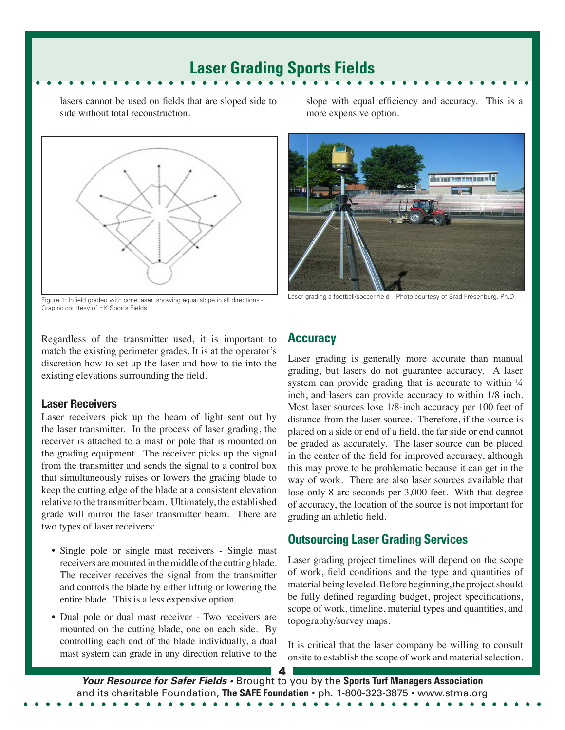lasers cannot be used on fields that are sloped side to side without total reconstruction.



Figure 1: Infield graded with cone laser, showing equal slope in all directions - Graphic courtesy of HK Sports Fields

Regardless of the transmitter used, it is important to match the existing perimeter grades. It is at the operator's discretion how to set up the laser and how to tie into the existing elevations surrounding the field.

#### **Laser Receivers**

Laser receivers pick up the beam of light sent out by the laser transmitter. In the process of laser grading, the receiver is attached to a mast or pole that is mounted on the grading equipment. The receiver picks up the signal from the transmitter and sends the signal to a control box that simultaneously raises or lowers the grading blade to keep the cutting edge of the blade at a consistent elevation relative to the transmitter beam. Ultimately, the established grade will mirror the laser transmitter beam. There are two types of laser receivers:

- Single pole or single mast receivers Single mast receivers are mounted in the middle of the cutting blade. The receiver receives the signal from the transmitter and controls the blade by either lifting or lowering the entire blade. This is a less expensive option.
- Dual pole or dual mast receiver Two receivers are mounted on the cutting blade, one on each side. By controlling each end of the blade individually, a dual mast system can grade in any direction relative to the

slope with equal efficiency and accuracy. This is a more expensive option.



Laser grading a football/soccer field – Photo courtesy of Brad Fresenburg, Ph.D.

### **Accuracy**

Laser grading is generally more accurate than manual grading, but lasers do not guarantee accuracy. A laser system can provide grading that is accurate to within  $\frac{1}{4}$ inch, and lasers can provide accuracy to within 1/8 inch. Most laser sources lose 1/8-inch accuracy per 100 feet of distance from the laser source. Therefore, if the source is placed on a side or end of a field, the far side or end cannot be graded as accurately. The laser source can be placed in the center of the field for improved accuracy, although this may prove to be problematic because it can get in the way of work. There are also laser sources available that lose only 8 arc seconds per 3,000 feet. With that degree of accuracy, the location of the source is not important for grading an athletic field.

### **Outsourcing Laser Grading Services**

Laser grading project timelines will depend on the scope of work, field conditions and the type and quantities of material being leveled. Before beginning, the project should be fully defined regarding budget, project specifications, scope of work, timeline, material types and quantities, and topography/survey maps.

It is critical that the laser company be willing to consult onsite to establish the scope of work and material selection.

*Your Resource for Safer Fields •* Brought to you by the **Sports Turf Managers Association**  and its charitable Foundation, **The SAFE Foundation** • ph. 1-800-323-3875 • www.stma.org

4